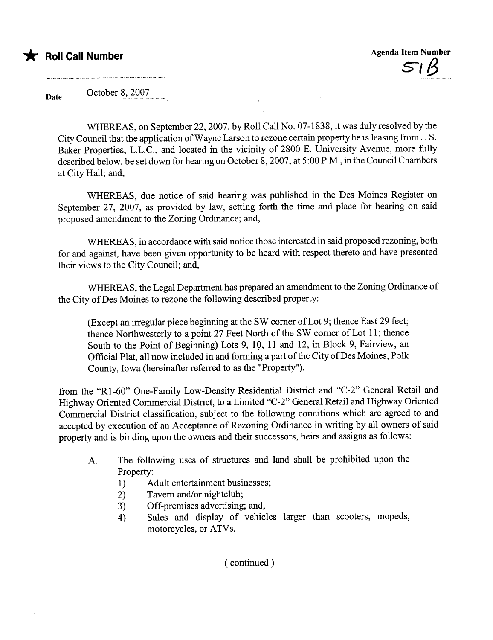Date October 8, 2007

WHEREAS, on September 22, 2007, by Roll Call No. 07-1838, it was duly resolved by the City Council that the application of Wayne Larson to rezone certain property he is leasing from J. S. Baker Properties, L.L.c., and located in the vicinity of 2800 E. University Avenue, more fully described below, be set down for hearing on October 8, 2007, at 5:00 P.M., in the Council Chambers at City Hall; and,

WHEREAS, due notice of said hearing was published in the Des Moines Register on September 27, 2007, as provided by law, setting forth the time and place for hearing on said proposed amendment to the Zoning Ordinance; and,

WHEREAS, in accordance with said notice those interested in said proposed rezoning, both for and against, have been given opportunity to be heard with respect thereto and have presented their views to the City Council; and,

WHEREAS, the Legal Department has prepared an amendment to the Zoning Ordinance of the City of Des Moines to rezone the following described property:

(Except an irregular piece beginning at the SW comer of thence Northwesterly to a point 27 Feet North of the SW comer of Lot 11; thence (Except an irregular piece beginning at the SW corner of Lot 9; thence East 29 feet; South to the Point of Beginning) Lots 9,10,11 and 12, in Block 9, Fairview, an Official Plat, all now included in and forming a part of the City of Des Moines, Polk County, Iowa (hereinafter referred to as the "Property").

from the "Rl-60" One-Family Low-Density Residential District and "C-2" General Retail and Highway Oriented Commercial District, to a Limited "C-2" General Retail and Highway Oriented Commercial District classification, subject to the following conditions which are agreed to and accepted by execution of an Acceptance of Rezoning Ordinance in writing by all owners of said property and is binding upon the owners and their successors, heirs and assigns as follows:

- A. The following uses of structures and land shall be prohibited upon the Property:
	- 1) Adult entertainment businesses;
	- 2) Tavern and/or nightclub;
	- 3) Off-premises advertising; and,
	- 4) Sales and display of vehicles larger than scooters, mopeds, motorcycles, or ATVs.

( continued)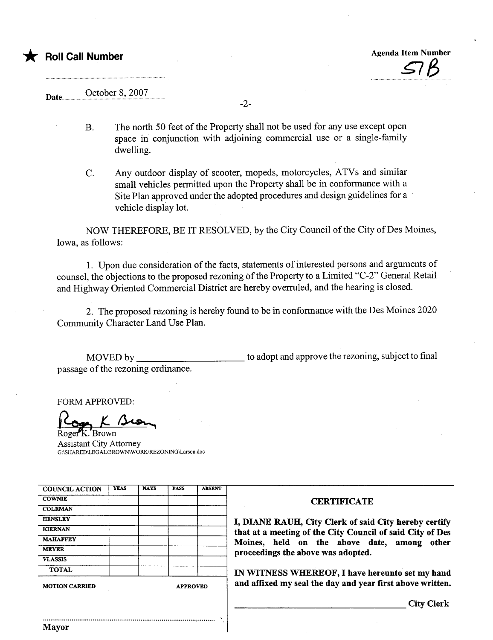## October 8, 2007 Date.......

B. The north 50 feet of the Property shall not be used for any use except open space in conjunction with adjoining commercial use or a single-family dwelling.

-2-

C. Any outdoor display of scooter, mopeds, motorcycles, ATVs and similar small vehicles permitted upon the Property shall be in conformance with a Site Plan approved under the adopted procedures and design guidelines for a . vehicle display lot.

NOW THEREFORE, BE IT RESOLVED, by the City Council of the City of Des Moines, Iowa, as follows:

1. Upon due consideration of the facts, statements of interested persons and arguments of counsel, the objections to the proposed rezoning of the Property to a Limited "C-2" General Retail and Highway Oriented Commercial District are hereby overruled, and the hearing is closed.

2. The proposed rezoning is hereby found to be in conformance with the Des Moines 2020 Community Character Land Use Plan.

MOVED by passage of the rezoning ordinance. to adopt and approve the rezoning, subject to final

FORM APPROVED:

.`Browr Assistant City Attorney G:\SHARED\LEGAL\BROWN\WORK\REZONING\Larson.doc

| <b>COUNCIL ACTION</b> | <b>YEAS</b>     | <b>NAYS</b> | <b>PASS</b> | <b>ABSENT</b>                                             |                                                           |  |
|-----------------------|-----------------|-------------|-------------|-----------------------------------------------------------|-----------------------------------------------------------|--|
| <b>COWNIE</b>         |                 |             |             |                                                           | <b>CERTIFICATE</b>                                        |  |
| <b>COLEMAN</b>        |                 |             |             |                                                           |                                                           |  |
| <b>HENSLEY</b>        |                 |             |             |                                                           | I, DIANE RAUH, City Clerk of said City hereby certify     |  |
| <b>KIERNAN</b>        |                 |             |             |                                                           | that at a meeting of the City Council of said City of Des |  |
| <b>MAHAFFEY</b>       |                 |             |             |                                                           | Moines, held on the above date, among other               |  |
| <b>MEYER</b>          |                 |             |             |                                                           | proceedings the above was adopted.                        |  |
| <b>VLASSIS</b>        |                 |             |             |                                                           |                                                           |  |
| <b>TOTAL</b>          |                 |             |             |                                                           | IN WITNESS WHEREOF, I have hereunto set my hand           |  |
| <b>MOTION CARRIED</b> | <b>APPROVED</b> |             |             | and affixed my seal the day and year first above written. |                                                           |  |
|                       |                 |             |             |                                                           | <b>City Clerk</b>                                         |  |
| <b>Mayor</b>          |                 |             |             |                                                           |                                                           |  |